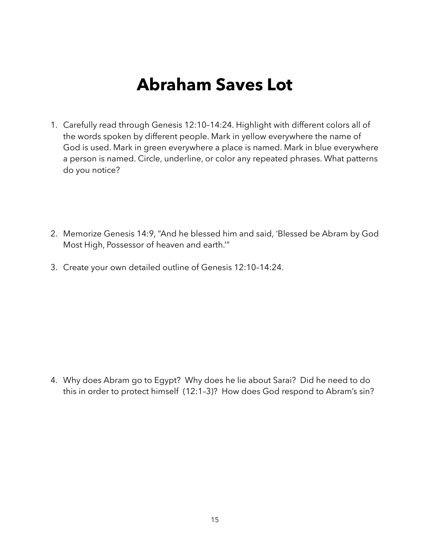## **Abraham Saves Lot**

- 1. Carefully read through Genesis 12:10–14:24. Highlight with different colors all of the words spoken by different people. Mark in yellow everywhere the name of God is used. Mark in green everywhere a place is named. Mark in blue everywhere a person is named. Circle, underline, or color any repeated phrases. What patterns do you notice?
- 2. Memorize Genesis 14:9, "And he blessed him and said, 'Blessed be Abram by God Most High, Possessor of heaven and earth.'"
- 3. Create your own detailed outline of Genesis 12:10–14:24.

4. Why does Abram go to Egypt? Why does he lie about Sarai? Did he need to do this in order to protect himself (12:1–3)? How does God respond to Abram's sin?